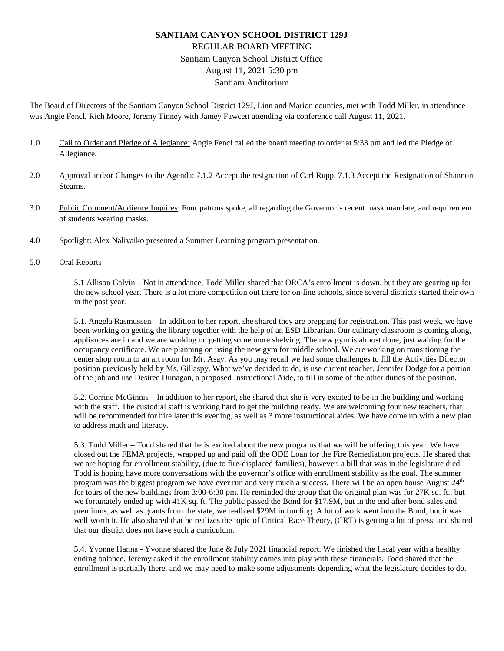## **SANTIAM CANYON SCHOOL DISTRICT 129J** REGULAR BOARD MEETING Santiam Canyon School District Office August 11, 2021 5:30 pm Santiam Auditorium

The Board of Directors of the Santiam Canyon School District 129J, Linn and Marion counties, met with Todd Miller, in attendance was Angie Fencl, Rich Moore, Jeremy Tinney with Jamey Fawcett attending via conference call August 11, 2021.

- 1.0 Call to Order and Pledge of Allegiance: Angie Fencl called the board meeting to order at 5:33 pm and led the Pledge of Allegiance.
- 2.0 Approval and/or Changes to the Agenda: 7.1.2 Accept the resignation of Carl Rupp. 7.1.3 Accept the Resignation of Shannon Stearns.
- 3.0 Public Comment/Audience Inquires: Four patrons spoke, all regarding the Governor's recent mask mandate, and requirement of students wearing masks.
- 4.0 Spotlight: Alex Nalivaiko presented a Summer Learning program presentation.

## 5.0 Oral Reports

5.1 Allison Galvin – Not in attendance, Todd Miller shared that ORCA's enrollment is down, but they are gearing up for the new school year. There is a lot more competition out there for on-line schools, since several districts started their own in the past year.

5.1. Angela Rasmussen – In addition to her report, she shared they are prepping for registration. This past week, we have been working on getting the library together with the help of an ESD Librarian. Our culinary classroom is coming along, appliances are in and we are working on getting some more shelving. The new gym is almost done, just waiting for the occupancy certificate. We are planning on using the new gym for middle school. We are working on transitioning the center shop room to an art room for Mr. Asay. As you may recall we had some challenges to fill the Activities Director position previously held by Ms. Gillaspy. What we've decided to do, is use current teacher, Jennifer Dodge for a portion of the job and use Desiree Dunagan, a proposed Instructional Aide, to fill in some of the other duties of the position.

5.2. Corrine McGinnis – In addition to her report, she shared that she is very excited to be in the building and working with the staff. The custodial staff is working hard to get the building ready. We are welcoming four new teachers, that will be recommended for hire later this evening, as well as 3 more instructional aides. We have come up with a new plan to address math and literacy.

5.3. Todd Miller – Todd shared that he is excited about the new programs that we will be offering this year. We have closed out the FEMA projects, wrapped up and paid off the ODE Loan for the Fire Remediation projects. He shared that we are hoping for enrollment stability, (due to fire-displaced families), however, a bill that was in the legislature died. Todd is hoping have more conversations with the governor's office with enrollment stability as the goal. The summer program was the biggest program we have ever run and very much a success. There will be an open house August  $24<sup>th</sup>$ for tours of the new buildings from 3:00-6:30 pm. He reminded the group that the original plan was for 27K sq. ft., but we fortunately ended up with 41K sq. ft. The public passed the Bond for \$17.9M, but in the end after bond sales and premiums, as well as grants from the state, we realized \$29M in funding. A lot of work went into the Bond, but it was well worth it. He also shared that he realizes the topic of Critical Race Theory, (CRT) is getting a lot of press, and shared that our district does not have such a curriculum.

5.4. Yvonne Hanna - Yvonne shared the June & July 2021 financial report. We finished the fiscal year with a healthy ending balance. Jeremy asked if the enrollment stability comes into play with these financials. Todd shared that the enrollment is partially there, and we may need to make some adjustments depending what the legislature decides to do.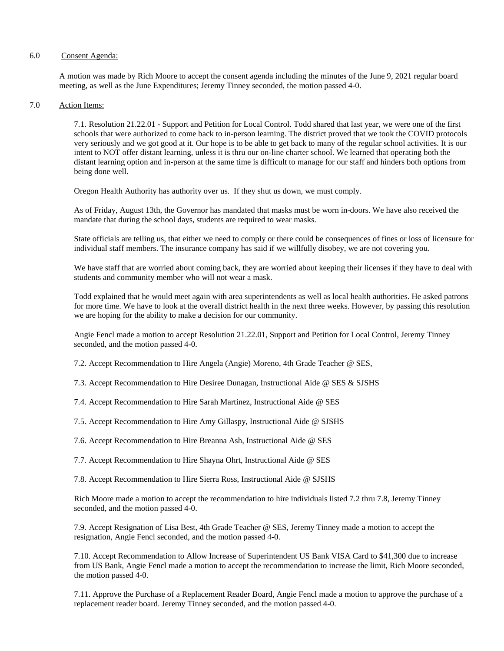## 6.0 Consent Agenda:

A motion was made by Rich Moore to accept the consent agenda including the minutes of the June 9, 2021 regular board meeting, as well as the June Expenditures; Jeremy Tinney seconded, the motion passed 4-0.

## 7.0 Action Items:

7.1. Resolution 21.22.01 - Support and Petition for Local Control. Todd shared that last year, we were one of the first schools that were authorized to come back to in-person learning. The district proved that we took the COVID protocols very seriously and we got good at it. Our hope is to be able to get back to many of the regular school activities. It is our intent to NOT offer distant learning, unless it is thru our on-line charter school. We learned that operating both the distant learning option and in-person at the same time is difficult to manage for our staff and hinders both options from being done well.

Oregon Health Authority has authority over us. If they shut us down, we must comply.

As of Friday, August 13th, the Governor has mandated that masks must be worn in-doors. We have also received the mandate that during the school days, students are required to wear masks.

State officials are telling us, that either we need to comply or there could be consequences of fines or loss of licensure for individual staff members. The insurance company has said if we willfully disobey, we are not covering you.

We have staff that are worried about coming back, they are worried about keeping their licenses if they have to deal with students and community member who will not wear a mask.

Todd explained that he would meet again with area superintendents as well as local health authorities. He asked patrons for more time. We have to look at the overall district health in the next three weeks. However, by passing this resolution we are hoping for the ability to make a decision for our community.

Angie Fencl made a motion to accept Resolution 21.22.01, Support and Petition for Local Control, Jeremy Tinney seconded, and the motion passed 4-0.

7.2. Accept Recommendation to Hire Angela (Angie) Moreno, 4th Grade Teacher @ SES,

7.3. Accept Recommendation to Hire Desiree Dunagan, Instructional Aide @ SES & SJSHS

7.4. Accept Recommendation to Hire Sarah Martinez, Instructional Aide @ SES

7.5. Accept Recommendation to Hire Amy Gillaspy, Instructional Aide @ SJSHS

7.6. Accept Recommendation to Hire Breanna Ash, Instructional Aide @ SES

7.7. Accept Recommendation to Hire Shayna Ohrt, Instructional Aide @ SES

7.8. Accept Recommendation to Hire Sierra Ross, Instructional Aide @ SJSHS

Rich Moore made a motion to accept the recommendation to hire individuals listed 7.2 thru 7.8, Jeremy Tinney seconded, and the motion passed 4-0.

7.9. Accept Resignation of Lisa Best, 4th Grade Teacher @ SES, Jeremy Tinney made a motion to accept the resignation, Angie Fencl seconded, and the motion passed 4-0.

7.10. Accept Recommendation to Allow Increase of Superintendent US Bank VISA Card to \$41,300 due to increase from US Bank, Angie Fencl made a motion to accept the recommendation to increase the limit, Rich Moore seconded, the motion passed 4-0.

7.11. Approve the Purchase of a Replacement Reader Board, Angie Fencl made a motion to approve the purchase of a replacement reader board. Jeremy Tinney seconded, and the motion passed 4-0.